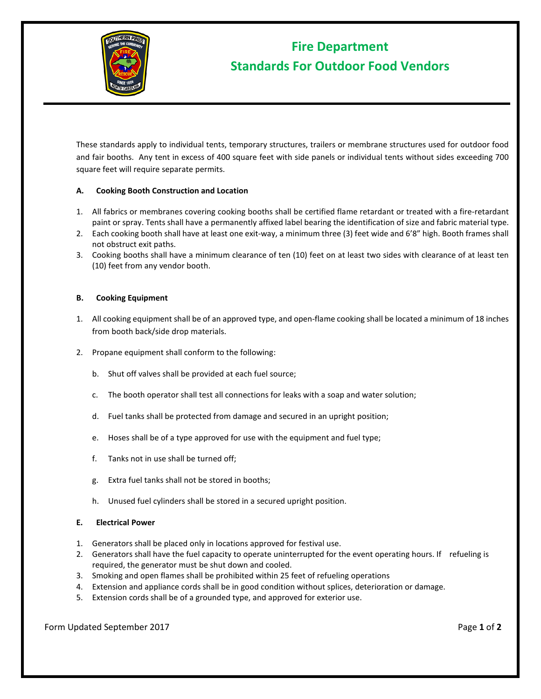

# **Fire Department Standards For Outdoor Food Vendors**

These standards apply to individual tents, temporary structures, trailers or membrane structures used for outdoor food and fair booths. Any tent in excess of 400 square feet with side panels or individual tents without sides exceeding 700 square feet will require separate permits.

# **A. Cooking Booth Construction and Location**

- 1. All fabrics or membranes covering cooking booths shall be certified flame retardant or treated with a fire-retardant paint or spray. Tents shall have a permanently affixed label bearing the identification of size and fabric material type.
- 2. Each cooking booth shall have at least one exit-way, a minimum three (3) feet wide and 6'8" high. Booth frames shall not obstruct exit paths.
- 3. Cooking booths shall have a minimum clearance of ten (10) feet on at least two sides with clearance of at least ten (10) feet from any vendor booth.

## **B. Cooking Equipment**

- 1. All cooking equipment shall be of an approved type, and open-flame cooking shall be located a minimum of 18 inches from booth back/side drop materials.
- 2. Propane equipment shall conform to the following:
	- b. Shut off valves shall be provided at each fuel source;
	- c. The booth operator shall test all connections for leaks with a soap and water solution;
	- d. Fuel tanks shall be protected from damage and secured in an upright position;
	- e. Hoses shall be of a type approved for use with the equipment and fuel type;
	- f. Tanks not in use shall be turned off;
	- g. Extra fuel tanks shall not be stored in booths;
	- h. Unused fuel cylinders shall be stored in a secured upright position.
- **E. Electrical Power**
- 1. Generators shall be placed only in locations approved for festival use.
- 2. Generators shall have the fuel capacity to operate uninterrupted for the event operating hours. If refueling is required, the generator must be shut down and cooled.
- 3. Smoking and open flames shall be prohibited within 25 feet of refueling operations
- 4. Extension and appliance cords shall be in good condition without splices, deterioration or damage.
- 5. Extension cords shall be of a grounded type, and approved for exterior use.

Form Updated September 2017 **Page 1** of 2